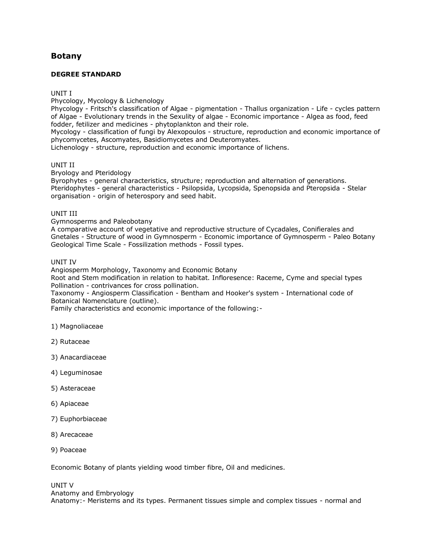# **[Botany](http://www.tnpsc.gov.in/Syllabus/BOTANYde.html)**

# **DEGREE STANDARD**

## UNIT I

Phycology, Mycology & Lichenology

Phycology - Fritsch's classification of Algae - pigmentation - Thallus organization - Life - cycles pattern of Algae - Evolutionary trends in the Sexulity of algae - Economic importance - Algea as food, feed fodder, fetilizer and medicines - phytoplankton and their role.

Mycology - classification of fungi by Alexopoulos - structure, reproduction and economic importance of phycomycetes, Ascomyates, Basidiomycetes and Deuteromyates.

Lichenology - structure, reproduction and economic importance of lichens.

#### UNIT II

Bryology and Pteridology

Byrophytes - general characteristics, structure; reproduction and alternation of generations. Pteridophytes - general characteristics - Psilopsida, Lycopsida, Spenopsida and Pteropsida - Stelar organisation - origin of heterospory and seed habit.

## UNIT III

Gymnosperms and Paleobotany

A comparative account of vegetative and reproductive structure of Cycadales, Conifierales and Gnetales - Structure of wood in Gymnosperm - Economic importance of Gymnosperm - Paleo Botany Geological Time Scale - Fossilization methods - Fossil types.

#### UNIT IV

Angiosperm Morphology, Taxonomy and Economic Botany

Root and Stem modification in relation to habitat. Infloresence: Raceme, Cyme and special types Pollination - contrivances for cross pollination.

Taxonomy - Angiosperm Classification - Bentham and Hooker's system - International code of Botanical Nomenclature (outline).

Family characteristics and economic importance of the following:-

- 1) Magnoliaceae
- 2) Rutaceae
- 3) Anacardiaceae
- 4) Leguminosae
- 5) Asteraceae
- 6) Apiaceae
- 7) Euphorbiaceae
- 8) Arecaceae
- 9) Poaceae

Economic Botany of plants yielding wood timber fibre, Oil and medicines.

UNIT V Anatomy and Embryology Anatomy:- Meristems and its types. Permanent tissues simple and complex tissues - normal and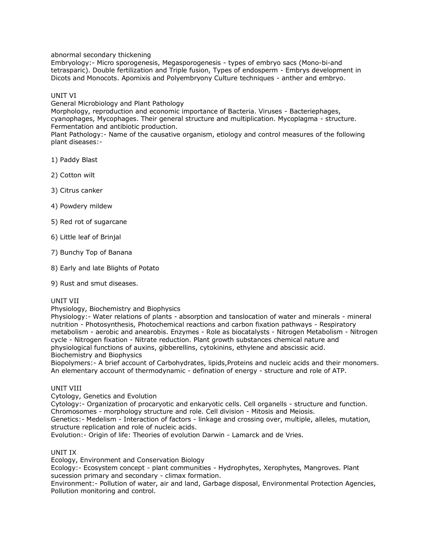abnormal secondary thickening

Embryology:- Micro sporogenesis, Megasporogenesis - types of embryo sacs (Mono-bi-and tetrasparic). Double fertilization and Triple fusion, Types of endosperm - Embrys development in Dicots and Monocots. Apomixis and Polyembryony Culture techniques - anther and embryo.

# UNIT VI

General Microbiology and Plant Pathology

Morphology, reproduction and economic importance of Bacteria. Viruses - Bacteriephages, cyanophages, Mycophages. Their general structure and multiplication. Mycoplagma - structure. Fermentation and antibiotic production.

Plant Pathology:- Name of the causative organism, etiology and control measures of the following plant diseases:-

1) Paddy Blast

2) Cotton wilt

3) Citrus canker

- 4) Powdery mildew
- 5) Red rot of sugarcane
- 6) Little leaf of Brinjal
- 7) Bunchy Top of Banana
- 8) Early and late Blights of Potato
- 9) Rust and smut diseases.

# UNIT VII

Physiology, Biochemistry and Biophysics

Physiology:- Water relations of plants - absorption and tanslocation of water and minerals - mineral nutrition - Photosynthesis, Photochemical reactions and carbon fixation pathways - Respiratory metabolism - aerobic and anearobis. Enzymes - Role as biocatalysts - Nitrogen Metabolism - Nitrogen cycle - Nitrogen fixation - Nitrate reduction. Plant growth substances chemical nature and physiological functions of auxins, gibberellins, cytokinins, ethylene and abscissic acid. Biochemistry and Biophysics

Biopolymers:- A brief account of Carbohydrates, lipids,Proteins and nucleic acids and their monomers. An elementary account of thermodynamic - defination of energy - structure and role of ATP.

# UNIT VIII

Cytology, Genetics and Evolution

Cytology:- Organization of procaryotic and enkaryotic cells. Cell organells - structure and function. Chromosomes - morphology structure and role. Cell division - Mitosis and Meiosis.

Genetics:- Medelism - Interaction of factors - linkage and crossing over, multiple, alleles, mutation, structure replication and role of nucleic acids.

Evolution:- Origin of life: Theories of evolution Darwin - Lamarck and de Vries.

# UNIT IX

Ecology, Environment and Conservation Biology

Ecology:- Ecosystem concept - plant communities - Hydrophytes, Xerophytes, Mangroves. Plant sucession primary and secondary - climax formation.

Environment:- Pollution of water, air and land, Garbage disposal, Environmental Protection Agencies, Pollution monitoring and control.